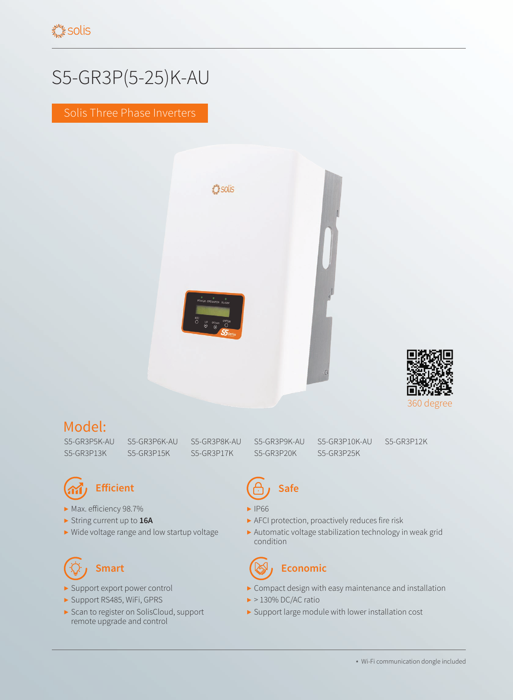# S5-GR3P(5-25)K-AU

Solis Three Phase Inverters





### Model:

S5-GR3P5K-AU S5-GR3P6K-AU S5-GR3P8K-AU

S5-GR3P13K S5-GR3P25K S5-GR3P17K S5-GR3P15K

S5-GR3P9K-AU S5-GR3P20K

S5-GR3P10K-AU

S5-GR3P12K



- ▶ Max. efficiency 98.7%
- ▶ String current up to **16A**
- ▶ Wide voltage range and low startup voltage

- ▶ Support export power control
- ▶ Support RS485, WiFi, GPRS
- ▶ Scan to register on SolisCloud, support remote upgrade and control

# **Efficient CA, Safe**

- ▶ IP66
- ▶ AFCI protection, proactively reduces fire risk
- ▶ Automatic voltage stabilization technology in weak grid condition

## **Smart Conomic Example 2 Example 2 Example 2 Example 2 Example 2 Example 2 Example 2 Example 2 Example 2**

- ▶ Compact design with easy maintenance and installation
- $\blacktriangleright$  > 130% DC/AC ratio
- ▶ Support large module with lower installation cost